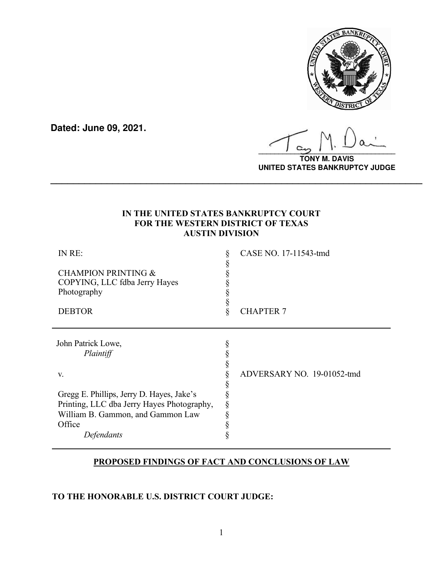

**Dated: June 09, 2021.**

**\_\_\_\_\_\_\_\_\_\_\_\_\_\_\_\_\_\_\_\_\_\_\_\_\_\_\_\_\_\_\_\_\_\_**

**TONY M. DAVIS UNITED STATES BANKRUPTCY JUDGE**

# **IN THE UNITED STATES BANKRUPTCY COURT FOR THE WESTERN DISTRICT OF TEXAS AUSTIN DIVISION**

**\_\_\_\_\_\_\_\_\_\_\_\_\_\_\_\_\_\_\_\_\_\_\_\_\_\_\_\_\_\_\_\_\_\_\_\_\_\_\_\_\_\_\_\_\_\_\_\_\_\_\_\_\_\_\_\_\_\_\_\_\_\_\_\_\_\_**

| IN RE:                                                                                                                       |   | CASE NO. 17-11543-tmd      |
|------------------------------------------------------------------------------------------------------------------------------|---|----------------------------|
| <b>CHAMPION PRINTING &amp;</b><br>COPYING, LLC fdba Jerry Hayes<br>Photography                                               |   |                            |
| <b>DEBTOR</b>                                                                                                                | Q | <b>CHAPTER 7</b>           |
| John Patrick Lowe,<br>Plaintiff                                                                                              |   |                            |
| V.                                                                                                                           |   | ADVERSARY NO. 19-01052-tmd |
| Gregg E. Phillips, Jerry D. Hayes, Jake's<br>Printing, LLC dba Jerry Hayes Photography,<br>William B. Gammon, and Gammon Law |   |                            |
| Office<br>Defendants                                                                                                         |   |                            |

# **PROPOSED FINDINGS OF FACT AND CONCLUSIONS OF LAW**

# **TO THE HONORABLE U.S. DISTRICT COURT JUDGE:**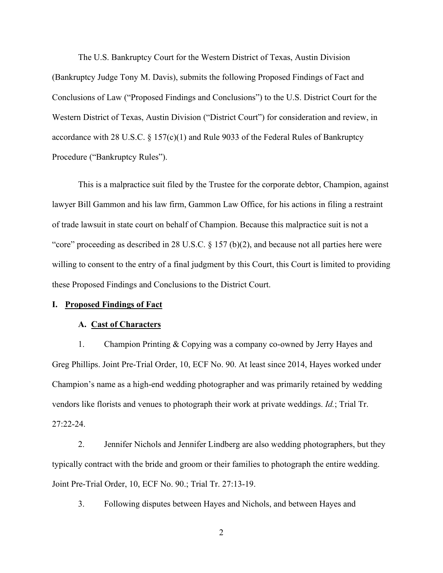The U.S. Bankruptcy Court for the Western District of Texas, Austin Division (Bankruptcy Judge Tony M. Davis), submits the following Proposed Findings of Fact and Conclusions of Law ("Proposed Findings and Conclusions") to the U.S. District Court for the Western District of Texas, Austin Division ("District Court") for consideration and review, in accordance with 28 U.S.C. § 157(c)(1) and Rule 9033 of the Federal Rules of Bankruptcy Procedure ("Bankruptcy Rules").

This is a malpractice suit filed by the Trustee for the corporate debtor, Champion, against lawyer Bill Gammon and his law firm, Gammon Law Office, for his actions in filing a restraint of trade lawsuit in state court on behalf of Champion. Because this malpractice suit is not a "core" proceeding as described in 28 U.S.C.  $\S$  157 (b)(2), and because not all parties here were willing to consent to the entry of a final judgment by this Court, this Court is limited to providing these Proposed Findings and Conclusions to the District Court.

# **I. Proposed Findings of Fact**

### **A. Cast of Characters**

1. Champion Printing & Copying was a company co-owned by Jerry Hayes and Greg Phillips. Joint Pre-Trial Order, 10, ECF No. 90. At least since 2014, Hayes worked under Champion's name as a high-end wedding photographer and was primarily retained by wedding vendors like florists and venues to photograph their work at private weddings. *Id.*; Trial Tr. 27:22-24.

2. Jennifer Nichols and Jennifer Lindberg are also wedding photographers, but they typically contract with the bride and groom or their families to photograph the entire wedding. Joint Pre-Trial Order, 10, ECF No. 90.; Trial Tr. 27:13-19.

3. Following disputes between Hayes and Nichols, and between Hayes and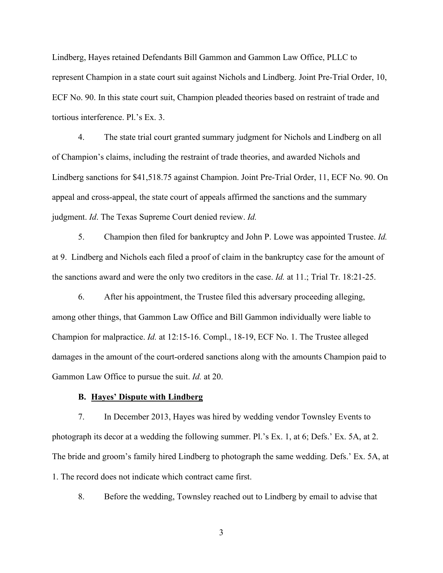Lindberg, Hayes retained Defendants Bill Gammon and Gammon Law Office, PLLC to represent Champion in a state court suit against Nichols and Lindberg. Joint Pre-Trial Order, 10, ECF No. 90. In this state court suit, Champion pleaded theories based on restraint of trade and tortious interference. Pl.'s Ex. 3.

4. The state trial court granted summary judgment for Nichols and Lindberg on all of Champion's claims, including the restraint of trade theories, and awarded Nichols and Lindberg sanctions for \$41,518.75 against Champion. Joint Pre-Trial Order, 11, ECF No. 90. On appeal and cross-appeal, the state court of appeals affirmed the sanctions and the summary judgment. *Id*. The Texas Supreme Court denied review. *Id.*

5. Champion then filed for bankruptcy and John P. Lowe was appointed Trustee. *Id.* at 9. Lindberg and Nichols each filed a proof of claim in the bankruptcy case for the amount of the sanctions award and were the only two creditors in the case. *Id.* at 11.; Trial Tr. 18:21-25.

6. After his appointment, the Trustee filed this adversary proceeding alleging, among other things, that Gammon Law Office and Bill Gammon individually were liable to Champion for malpractice. *Id.* at 12:15-16. Compl., 18-19, ECF No. 1. The Trustee alleged damages in the amount of the court-ordered sanctions along with the amounts Champion paid to Gammon Law Office to pursue the suit. *Id.* at 20.

### **B. Hayes' Dispute with Lindberg**

7. In December 2013, Hayes was hired by wedding vendor Townsley Events to photograph its decor at a wedding the following summer. Pl.'s Ex. 1, at 6; Defs.' Ex. 5A, at 2. The bride and groom's family hired Lindberg to photograph the same wedding. Defs.' Ex. 5A, at 1. The record does not indicate which contract came first.

8. Before the wedding, Townsley reached out to Lindberg by email to advise that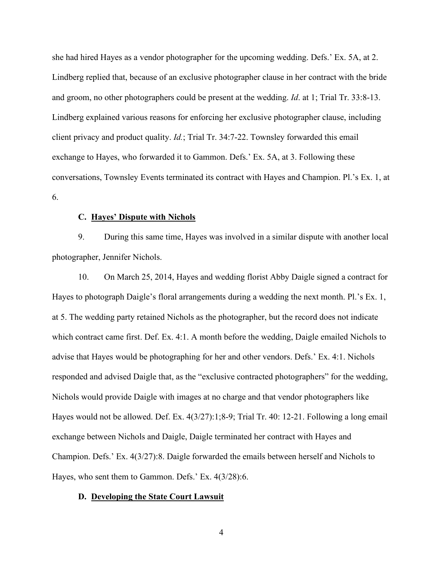she had hired Hayes as a vendor photographer for the upcoming wedding. Defs.' Ex. 5A, at 2. Lindberg replied that, because of an exclusive photographer clause in her contract with the bride and groom, no other photographers could be present at the wedding. *Id*. at 1; Trial Tr. 33:8-13. Lindberg explained various reasons for enforcing her exclusive photographer clause, including client privacy and product quality. *Id.*; Trial Tr. 34:7-22. Townsley forwarded this email exchange to Hayes, who forwarded it to Gammon. Defs.' Ex. 5A, at 3. Following these conversations, Townsley Events terminated its contract with Hayes and Champion. Pl.'s Ex. 1, at 6.

## **C. Hayes' Dispute with Nichols**

9. During this same time, Hayes was involved in a similar dispute with another local photographer, Jennifer Nichols.

10. On March 25, 2014, Hayes and wedding florist Abby Daigle signed a contract for Hayes to photograph Daigle's floral arrangements during a wedding the next month. Pl.'s Ex. 1, at 5. The wedding party retained Nichols as the photographer, but the record does not indicate which contract came first. Def. Ex. 4:1. A month before the wedding, Daigle emailed Nichols to advise that Hayes would be photographing for her and other vendors. Defs.' Ex. 4:1. Nichols responded and advised Daigle that, as the "exclusive contracted photographers" for the wedding, Nichols would provide Daigle with images at no charge and that vendor photographers like Hayes would not be allowed. Def. Ex. 4(3/27):1;8-9; Trial Tr. 40: 12-21. Following a long email exchange between Nichols and Daigle, Daigle terminated her contract with Hayes and Champion. Defs.' Ex. 4(3/27):8. Daigle forwarded the emails between herself and Nichols to Hayes, who sent them to Gammon. Defs.' Ex. 4(3/28):6.

#### **D. Developing the State Court Lawsuit**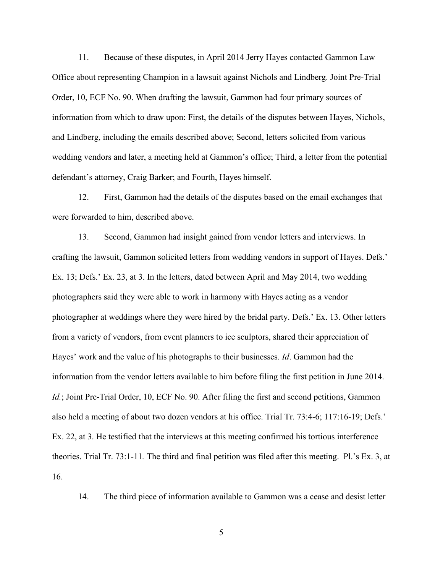11. Because of these disputes, in April 2014 Jerry Hayes contacted Gammon Law Office about representing Champion in a lawsuit against Nichols and Lindberg. Joint Pre-Trial Order, 10, ECF No. 90. When drafting the lawsuit, Gammon had four primary sources of information from which to draw upon: First, the details of the disputes between Hayes, Nichols, and Lindberg, including the emails described above; Second, letters solicited from various wedding vendors and later, a meeting held at Gammon's office; Third, a letter from the potential defendant's attorney, Craig Barker; and Fourth, Hayes himself.

12. First, Gammon had the details of the disputes based on the email exchanges that were forwarded to him, described above.

13. Second, Gammon had insight gained from vendor letters and interviews. In crafting the lawsuit, Gammon solicited letters from wedding vendors in support of Hayes. Defs.' Ex. 13; Defs.' Ex. 23, at 3. In the letters, dated between April and May 2014, two wedding photographers said they were able to work in harmony with Hayes acting as a vendor photographer at weddings where they were hired by the bridal party. Defs.' Ex. 13. Other letters from a variety of vendors, from event planners to ice sculptors, shared their appreciation of Hayes' work and the value of his photographs to their businesses. *Id*. Gammon had the information from the vendor letters available to him before filing the first petition in June 2014. *Id.*; Joint Pre-Trial Order, 10, ECF No. 90. After filing the first and second petitions, Gammon also held a meeting of about two dozen vendors at his office. Trial Tr. 73:4-6; 117:16-19; Defs.' Ex. 22, at 3. He testified that the interviews at this meeting confirmed his tortious interference theories. Trial Tr. 73:1-11*.* The third and final petition was filed after this meeting. Pl.'s Ex. 3, at 16.

14. The third piece of information available to Gammon was a cease and desist letter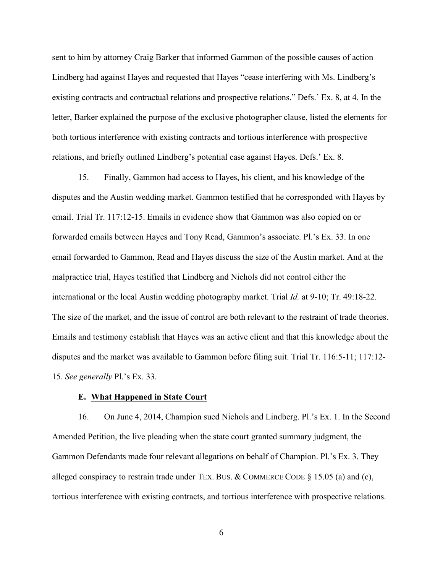sent to him by attorney Craig Barker that informed Gammon of the possible causes of action Lindberg had against Hayes and requested that Hayes "cease interfering with Ms. Lindberg's existing contracts and contractual relations and prospective relations." Defs.' Ex. 8, at 4. In the letter, Barker explained the purpose of the exclusive photographer clause, listed the elements for both tortious interference with existing contracts and tortious interference with prospective relations, and briefly outlined Lindberg's potential case against Hayes. Defs.' Ex. 8.

15. Finally, Gammon had access to Hayes, his client, and his knowledge of the disputes and the Austin wedding market. Gammon testified that he corresponded with Hayes by email. Trial Tr. 117:12-15. Emails in evidence show that Gammon was also copied on or forwarded emails between Hayes and Tony Read, Gammon's associate. Pl.'s Ex. 33. In one email forwarded to Gammon, Read and Hayes discuss the size of the Austin market. And at the malpractice trial, Hayes testified that Lindberg and Nichols did not control either the international or the local Austin wedding photography market. Trial *Id.* at 9-10; Tr. 49:18-22. The size of the market, and the issue of control are both relevant to the restraint of trade theories. Emails and testimony establish that Hayes was an active client and that this knowledge about the disputes and the market was available to Gammon before filing suit. Trial Tr. 116:5-11; 117:12- 15. *See generally* Pl.'s Ex. 33.

### **E. What Happened in State Court**

16. On June 4, 2014, Champion sued Nichols and Lindberg. Pl.'s Ex. 1. In the Second Amended Petition, the live pleading when the state court granted summary judgment, the Gammon Defendants made four relevant allegations on behalf of Champion. Pl.'s Ex. 3. They alleged conspiracy to restrain trade under TEX. BUS. & COMMERCE CODE  $\S$  15.05 (a) and (c), tortious interference with existing contracts, and tortious interference with prospective relations.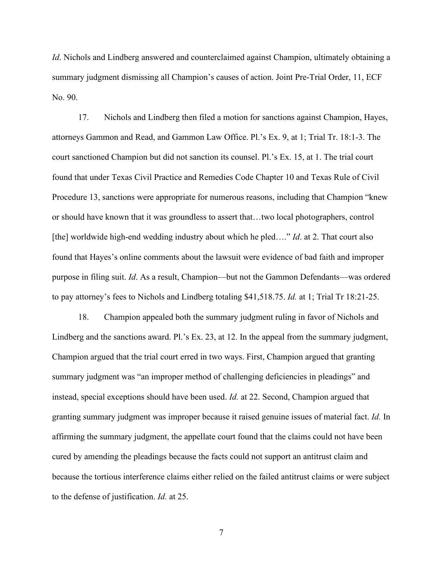*Id*. Nichols and Lindberg answered and counterclaimed against Champion, ultimately obtaining a summary judgment dismissing all Champion's causes of action. Joint Pre-Trial Order, 11, ECF No. 90.

17. Nichols and Lindberg then filed a motion for sanctions against Champion, Hayes, attorneys Gammon and Read, and Gammon Law Office. Pl.'s Ex. 9, at 1; Trial Tr. 18:1-3. The court sanctioned Champion but did not sanction its counsel. Pl.'s Ex. 15, at 1. The trial court found that under Texas Civil Practice and Remedies Code Chapter 10 and Texas Rule of Civil Procedure 13, sanctions were appropriate for numerous reasons, including that Champion "knew or should have known that it was groundless to assert that…two local photographers, control [the] worldwide high-end wedding industry about which he pled...." *Id*. at 2. That court also found that Hayes's online comments about the lawsuit were evidence of bad faith and improper purpose in filing suit. *Id*. As a result, Champion—but not the Gammon Defendants—was ordered to pay attorney's fees to Nichols and Lindberg totaling \$41,518.75. *Id.* at 1; Trial Tr 18:21-25.

18. Champion appealed both the summary judgment ruling in favor of Nichols and Lindberg and the sanctions award. Pl.'s Ex. 23, at 12. In the appeal from the summary judgment, Champion argued that the trial court erred in two ways. First, Champion argued that granting summary judgment was "an improper method of challenging deficiencies in pleadings" and instead, special exceptions should have been used. *Id.* at 22. Second, Champion argued that granting summary judgment was improper because it raised genuine issues of material fact. *Id.* In affirming the summary judgment, the appellate court found that the claims could not have been cured by amending the pleadings because the facts could not support an antitrust claim and because the tortious interference claims either relied on the failed antitrust claims or were subject to the defense of justification. *Id.* at 25.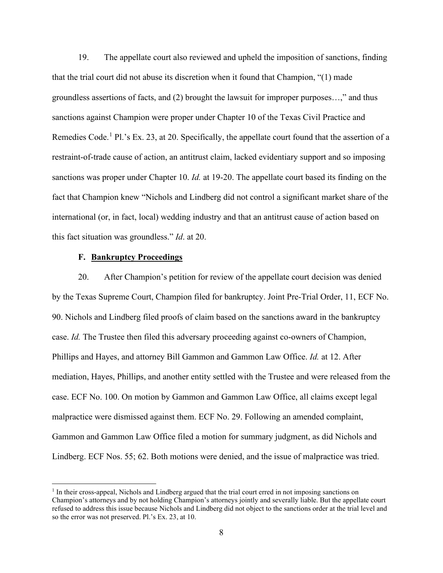19. The appellate court also reviewed and upheld the imposition of sanctions, finding that the trial court did not abuse its discretion when it found that Champion, "(1) made groundless assertions of facts, and (2) brought the lawsuit for improper purposes…," and thus sanctions against Champion were proper under Chapter 10 of the Texas Civil Practice and Remedies Code.<sup>[1](#page-7-0)</sup> Pl.'s Ex. 23, at 20. Specifically, the appellate court found that the assertion of a restraint-of-trade cause of action, an antitrust claim, lacked evidentiary support and so imposing sanctions was proper under Chapter 10. *Id.* at 19-20. The appellate court based its finding on the fact that Champion knew "Nichols and Lindberg did not control a significant market share of the international (or, in fact, local) wedding industry and that an antitrust cause of action based on this fact situation was groundless." *Id*. at 20.

### **F. Bankruptcy Proceedings**

20. After Champion's petition for review of the appellate court decision was denied by the Texas Supreme Court, Champion filed for bankruptcy. Joint Pre-Trial Order, 11, ECF No. 90. Nichols and Lindberg filed proofs of claim based on the sanctions award in the bankruptcy case. *Id.* The Trustee then filed this adversary proceeding against co-owners of Champion, Phillips and Hayes, and attorney Bill Gammon and Gammon Law Office. *Id.* at 12. After mediation, Hayes, Phillips, and another entity settled with the Trustee and were released from the case. ECF No. 100. On motion by Gammon and Gammon Law Office, all claims except legal malpractice were dismissed against them. ECF No. 29. Following an amended complaint, Gammon and Gammon Law Office filed a motion for summary judgment, as did Nichols and Lindberg. ECF Nos. 55; 62. Both motions were denied, and the issue of malpractice was tried.

<span id="page-7-0"></span><sup>1</sup> In their cross-appeal, Nichols and Lindberg argued that the trial court erred in not imposing sanctions on Champion's attorneys and by not holding Champion's attorneys jointly and severally liable. But the appellate court refused to address this issue because Nichols and Lindberg did not object to the sanctions order at the trial level and so the error was not preserved. Pl.'s Ex. 23, at 10.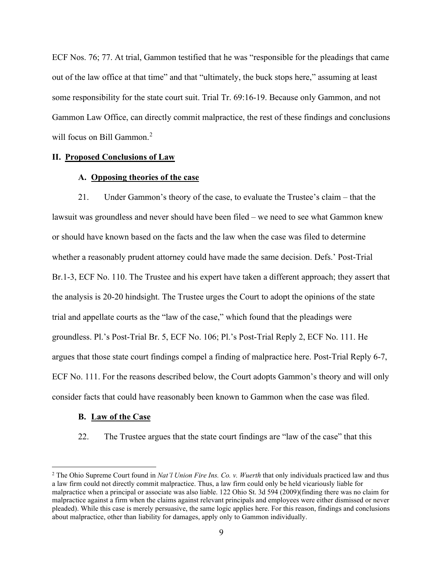ECF Nos. 76; 77. At trial, Gammon testified that he was "responsible for the pleadings that came out of the law office at that time" and that "ultimately, the buck stops here," assuming at least some responsibility for the state court suit. Trial Tr. 69:16-19. Because only Gammon, and not Gammon Law Office, can directly commit malpractice, the rest of these findings and conclusions will focus on Bill Gammon.<sup>[2](#page-8-0)</sup>

# **II. Proposed Conclusions of Law**

### **A. Opposing theories of the case**

21. Under Gammon's theory of the case, to evaluate the Trustee's claim – that the lawsuit was groundless and never should have been filed – we need to see what Gammon knew or should have known based on the facts and the law when the case was filed to determine whether a reasonably prudent attorney could have made the same decision. Defs.' Post-Trial Br.1-3, ECF No. 110. The Trustee and his expert have taken a different approach; they assert that the analysis is 20-20 hindsight. The Trustee urges the Court to adopt the opinions of the state trial and appellate courts as the "law of the case," which found that the pleadings were groundless. Pl.'s Post-Trial Br. 5, ECF No. 106; Pl.'s Post-Trial Reply 2, ECF No. 111. He argues that those state court findings compel a finding of malpractice here. Post-Trial Reply 6-7, ECF No. 111. For the reasons described below, the Court adopts Gammon's theory and will only consider facts that could have reasonably been known to Gammon when the case was filed.

#### **B. Law of the Case**

22. The Trustee argues that the state court findings are "law of the case" that this

<span id="page-8-0"></span><sup>2</sup> The Ohio Supreme Court found in *Nat'l Union Fire Ins. Co. v. Wuerth* that only individuals practiced law and thus a law firm could not directly commit malpractice. Thus, a law firm could only be held vicariously liable for malpractice when a principal or associate was also liable. 122 Ohio St. 3d 594 (2009)(finding there was no claim for malpractice against a firm when the claims against relevant principals and employees were either dismissed or never pleaded). While this case is merely persuasive, the same logic applies here. For this reason, findings and conclusions about malpractice, other than liability for damages, apply only to Gammon individually.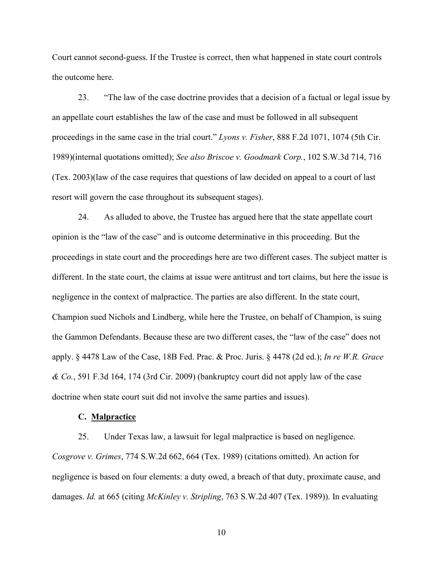Court cannot second-guess. If the Trustee is correct, then what happened in state court controls the outcome here.

23. "The law of the case doctrine provides that a decision of a factual or legal issue by an appellate court establishes the law of the case and must be followed in all subsequent proceedings in the same case in the trial court." *Lyons v. Fisher*, 888 F.2d 1071, 1074 (5th Cir. 1989)(internal quotations omitted); *See also Briscoe v. Goodmark Corp.*, 102 S.W.3d 714, 716 (Tex. 2003)(law of the case requires that questions of law decided on appeal to a court of last resort will govern the case throughout its subsequent stages).

24. As alluded to above, the Trustee has argued here that the state appellate court opinion is the "law of the case" and is outcome determinative in this proceeding. But the proceedings in state court and the proceedings here are two different cases. The subject matter is different. In the state court, the claims at issue were antitrust and tort claims, but here the issue is negligence in the context of malpractice. The parties are also different. In the state court, Champion sued Nichols and Lindberg, while here the Trustee, on behalf of Champion, is suing the Gammon Defendants. Because these are two different cases, the "law of the case" does not apply. § 4478 Law of the Case, 18B Fed. Prac. & Proc. Juris. § 4478 (2d ed.); *In re W.R. Grace & Co.*, 591 F.3d 164, 174 (3rd Cir. 2009) (bankruptcy court did not apply law of the case doctrine when state court suit did not involve the same parties and issues).

### **C. Malpractice**

25. Under Texas law, a lawsuit for legal malpractice is based on negligence. *Cosgrove v. Grimes*, 774 S.W.2d 662, 664 (Tex. 1989) (citations omitted). An action for negligence is based on four elements: a duty owed, a breach of that duty, proximate cause, and damages. *Id.* at 665 (citing *McKinley v. Stripling*, 763 S.W.2d 407 (Tex. 1989)). In evaluating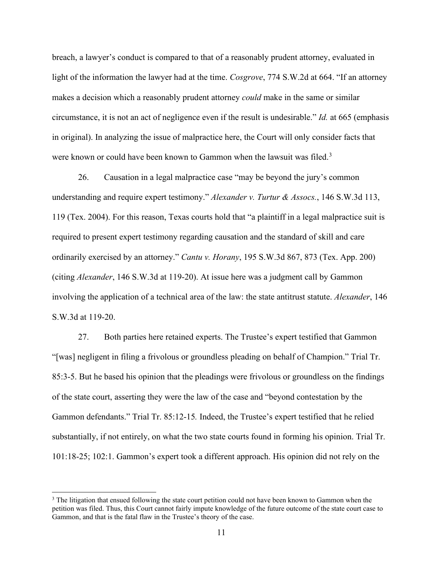breach, a lawyer's conduct is compared to that of a reasonably prudent attorney, evaluated in light of the information the lawyer had at the time. *Cosgrove*, 774 S.W.2d at 664. "If an attorney makes a decision which a reasonably prudent attorney *could* make in the same or similar circumstance, it is not an act of negligence even if the result is undesirable." *Id.* at 665 (emphasis in original). In analyzing the issue of malpractice here, the Court will only consider facts that were known or could have been known to Gammon when the lawsuit was filed.<sup>[3](#page-10-0)</sup>

26. Causation in a legal malpractice case "may be beyond the jury's common understanding and require expert testimony." *Alexander v. Turtur & Assocs.*, 146 S.W.3d 113, 119 (Tex. 2004). For this reason, Texas courts hold that "a plaintiff in a legal malpractice suit is required to present expert testimony regarding causation and the standard of skill and care ordinarily exercised by an attorney." *Cantu v. Horany*, 195 S.W.3d 867, 873 (Tex. App. 200) (citing *Alexander*, 146 S.W.3d at 119-20). At issue here was a judgment call by Gammon involving the application of a technical area of the law: the state antitrust statute. *Alexander*, 146 S.W.3d at 119-20.

27. Both parties here retained experts. The Trustee's expert testified that Gammon "[was] negligent in filing a frivolous or groundless pleading on behalf of Champion." Trial Tr. 85:3-5. But he based his opinion that the pleadings were frivolous or groundless on the findings of the state court, asserting they were the law of the case and "beyond contestation by the Gammon defendants." Trial Tr. 85:12-15*.* Indeed, the Trustee's expert testified that he relied substantially, if not entirely, on what the two state courts found in forming his opinion. Trial Tr. 101:18-25; 102:1. Gammon's expert took a different approach. His opinion did not rely on the

<span id="page-10-0"></span><sup>&</sup>lt;sup>3</sup> The litigation that ensued following the state court petition could not have been known to Gammon when the petition was filed. Thus, this Court cannot fairly impute knowledge of the future outcome of the state court case to Gammon, and that is the fatal flaw in the Trustee's theory of the case.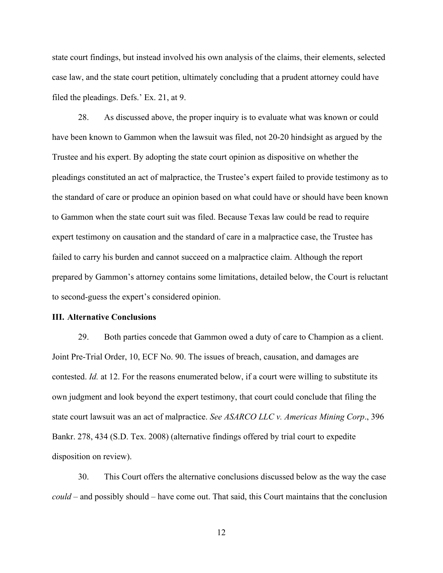state court findings, but instead involved his own analysis of the claims, their elements, selected case law, and the state court petition, ultimately concluding that a prudent attorney could have filed the pleadings. Defs.' Ex. 21, at 9.

28. As discussed above, the proper inquiry is to evaluate what was known or could have been known to Gammon when the lawsuit was filed, not 20-20 hindsight as argued by the Trustee and his expert. By adopting the state court opinion as dispositive on whether the pleadings constituted an act of malpractice, the Trustee's expert failed to provide testimony as to the standard of care or produce an opinion based on what could have or should have been known to Gammon when the state court suit was filed. Because Texas law could be read to require expert testimony on causation and the standard of care in a malpractice case, the Trustee has failed to carry his burden and cannot succeed on a malpractice claim. Although the report prepared by Gammon's attorney contains some limitations, detailed below, the Court is reluctant to second-guess the expert's considered opinion.

#### **III. Alternative Conclusions**

29. Both parties concede that Gammon owed a duty of care to Champion as a client. Joint Pre-Trial Order, 10, ECF No. 90. The issues of breach, causation, and damages are contested. *Id.* at 12. For the reasons enumerated below, if a court were willing to substitute its own judgment and look beyond the expert testimony, that court could conclude that filing the state court lawsuit was an act of malpractice. *See ASARCO LLC v. Americas Mining Corp*., 396 Bankr. 278, 434 (S.D. Tex. 2008) (alternative findings offered by trial court to expedite disposition on review).

30. This Court offers the alternative conclusions discussed below as the way the case *could* – and possibly should – have come out. That said, this Court maintains that the conclusion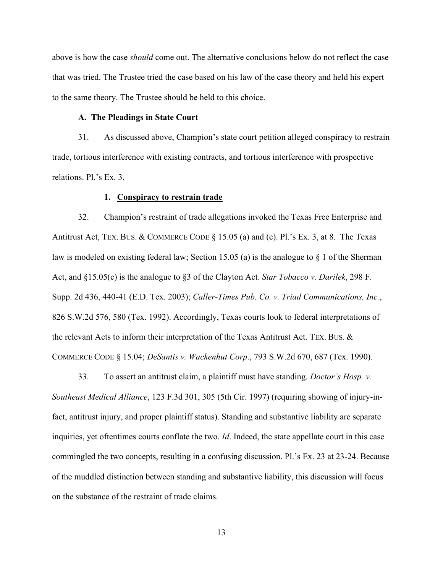above is how the case *should* come out. The alternative conclusions below do not reflect the case that was tried. The Trustee tried the case based on his law of the case theory and held his expert to the same theory. The Trustee should be held to this choice.

# **A. The Pleadings in State Court**

31. As discussed above, Champion's state court petition alleged conspiracy to restrain trade, tortious interference with existing contracts, and tortious interference with prospective relations. Pl.'s Ex. 3.

### **1. Conspiracy to restrain trade**

32. Champion's restraint of trade allegations invoked the Texas Free Enterprise and Antitrust Act, TEX. BUS. & COMMERCE CODE  $\S$  15.05 (a) and (c). Pl.'s Ex. 3, at 8. The Texas law is modeled on existing federal law; Section 15.05 (a) is the analogue to  $\S$  1 of the Sherman Act, and §15.05(c) is the analogue to §3 of the Clayton Act. *Star Tobacco v. Darilek*, 298 F. Supp. 2d 436, 440-41 (E.D. Tex. 2003); *Caller-Times Pub. Co. v. Triad Communications, Inc.*, 826 S.W.2d 576, 580 (Tex. 1992). Accordingly, Texas courts look to federal interpretations of the relevant Acts to inform their interpretation of the Texas Antitrust Act. TEX. BUS. & COMMERCE CODE § 15.04; *DeSantis v. Wackenhut Corp*., 793 S.W.2d 670, 687 (Tex. 1990).

33. To assert an antitrust claim, a plaintiff must have standing. *Doctor's Hosp. v. Southeast Medical Alliance*, 123 F.3d 301, 305 (5th Cir. 1997) (requiring showing of injury-infact, antitrust injury, and proper plaintiff status). Standing and substantive liability are separate inquiries, yet oftentimes courts conflate the two. *Id*. Indeed, the state appellate court in this case commingled the two concepts, resulting in a confusing discussion. Pl.'s Ex. 23 at 23-24. Because of the muddled distinction between standing and substantive liability, this discussion will focus on the substance of the restraint of trade claims.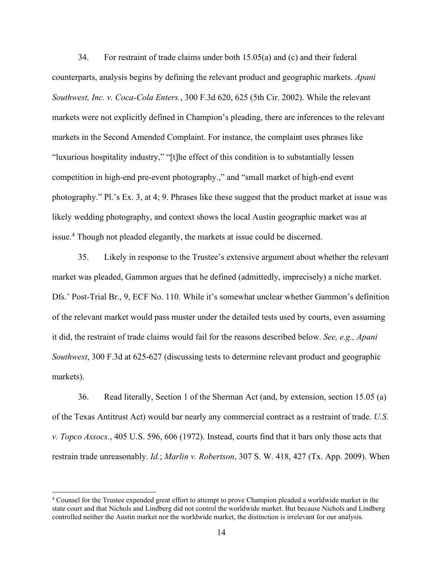34. For restraint of trade claims under both 15.05(a) and (c) and their federal counterparts, analysis begins by defining the relevant product and geographic markets. *Apani Southwest, Inc. v. Coca-Cola Enters.*, 300 F.3d 620, 625 (5th Cir. 2002). While the relevant markets were not explicitly defined in Champion's pleading, there are inferences to the relevant markets in the Second Amended Complaint. For instance, the complaint uses phrases like "luxurious hospitality industry," "[t]he effect of this condition is to substantially lessen competition in high-end pre-event photography.," and "small market of high-end event photography." Pl.'s Ex. 3, at 4; 9. Phrases like these suggest that the product market at issue was likely wedding photography, and context shows the local Austin geographic market was at issue.[4](#page-13-0) Though not pleaded elegantly, the markets at issue could be discerned.

35. Likely in response to the Trustee's extensive argument about whether the relevant market was pleaded, Gammon argues that he defined (admittedly, imprecisely) a niche market. Dfs.' Post-Trial Br., 9, ECF No. 110. While it's somewhat unclear whether Gammon's definition of the relevant market would pass muster under the detailed tests used by courts, even assuming it did, the restraint of trade claims would fail for the reasons described below. *See, e.g., Apani Southwest*, 300 F.3d at 625-627 (discussing tests to determine relevant product and geographic markets).

36. Read literally, Section 1 of the Sherman Act (and, by extension, section 15.05 (a) of the Texas Antitrust Act) would bar nearly any commercial contract as a restraint of trade. *U.S. v. Topco Assocs.*, 405 U.S. 596, 606 (1972). Instead, courts find that it bars only those acts that restrain trade unreasonably. *Id.*; *Marlin v. Robertson*, 307 S. W. 418, 427 (Tx. App. 2009). When

<span id="page-13-0"></span><sup>4</sup> Counsel for the Trustee expended great effort to attempt to prove Champion pleaded a worldwide market in the state court and that Nichols and Lindberg did not control the worldwide market. But because Nichols and Lindberg controlled neither the Austin market nor the worldwide market, the distinction is irrelevant for our analysis.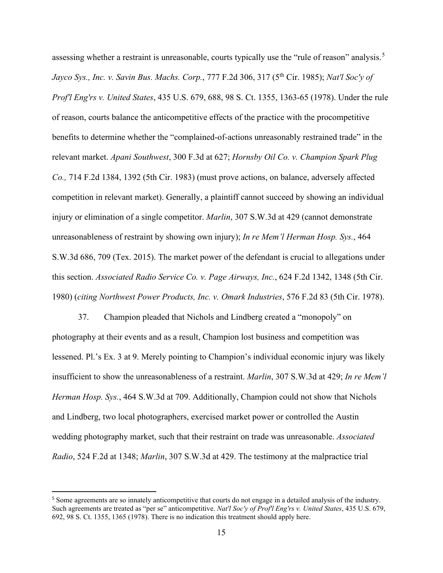assessing whether a restraint is unreasonable, courts typically use the "rule of reason" analysis.<sup>[5](#page-14-0)</sup> *Jayco Sys., Inc. v. Savin Bus. Machs. Corp.*, 777 F.2d 306, 317 (5th Cir. 1985); *Nat'l Soc'y of Prof'l Eng'rs v. United States*, 435 U.S. 679, 688, 98 S. Ct. 1355, 1363-65 (1978). Under the rule of reason, courts balance the anticompetitive effects of the practice with the procompetitive benefits to determine whether the "complained-of-actions unreasonably restrained trade" in the relevant market. *Apani Southwest*, 300 F.3d at 627; *Hornsby Oil Co. v. Champion Spark Plug Co.,* 714 F.2d 1384, 1392 (5th Cir. 1983) (must prove actions, on balance, adversely affected competition in relevant market). Generally, a plaintiff cannot succeed by showing an individual injury or elimination of a single competitor. *Marlin*, 307 S.W.3d at 429 (cannot demonstrate unreasonableness of restraint by showing own injury); *In re Mem'l Herman Hosp. Sys.*, 464 S.W.3d 686, 709 (Tex. 2015). The market power of the defendant is crucial to allegations under this section. *Associated Radio Service Co. v. Page Airways, Inc.*, 624 F.2d 1342, 1348 (5th Cir. 1980) (*citing Northwest Power Products, Inc. v. Omark Industries*, 576 F.2d 83 (5th Cir. 1978).

37. Champion pleaded that Nichols and Lindberg created a "monopoly" on photography at their events and as a result, Champion lost business and competition was lessened. Pl.'s Ex. 3 at 9. Merely pointing to Champion's individual economic injury was likely insufficient to show the unreasonableness of a restraint. *Marlin*, 307 S.W.3d at 429; *In re Mem'l Herman Hosp. Sys.*, 464 S.W.3d at 709. Additionally, Champion could not show that Nichols and Lindberg, two local photographers, exercised market power or controlled the Austin wedding photography market, such that their restraint on trade was unreasonable. *Associated Radio*, 524 F.2d at 1348; *Marlin*, 307 S.W.3d at 429. The testimony at the malpractice trial

<span id="page-14-0"></span><sup>&</sup>lt;sup>5</sup> Some agreements are so innately anticompetitive that courts do not engage in a detailed analysis of the industry. Such agreements are treated as "per se" anticompetitive. *Nat'l Soc'y of Prof'l Eng'rs v. United States*, 435 U.S. 679, 692, 98 S. Ct. 1355, 1365 (1978). There is no indication this treatment should apply here.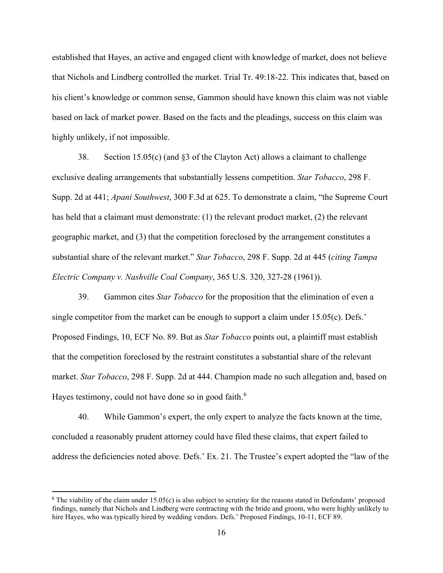established that Hayes, an active and engaged client with knowledge of market, does not believe that Nichols and Lindberg controlled the market. Trial Tr. 49:18-22. This indicates that, based on his client's knowledge or common sense, Gammon should have known this claim was not viable based on lack of market power. Based on the facts and the pleadings, success on this claim was highly unlikely, if not impossible.

38. Section 15.05(c) (and §3 of the Clayton Act) allows a claimant to challenge exclusive dealing arrangements that substantially lessens competition. *Star Tobacco*, 298 F. Supp. 2d at 441; *Apani Southwest*, 300 F.3d at 625. To demonstrate a claim, "the Supreme Court has held that a claimant must demonstrate: (1) the relevant product market, (2) the relevant geographic market, and (3) that the competition foreclosed by the arrangement constitutes a substantial share of the relevant market." *Star Tobacco*, 298 F. Supp. 2d at 445 (*citing Tampa Electric Company v. Nashville Coal Company*, 365 U.S. 320, 327-28 (1961)).

39. Gammon cites *Star Tobacco* for the proposition that the elimination of even a single competitor from the market can be enough to support a claim under  $15.05(c)$ . Defs.' Proposed Findings, 10, ECF No. 89. But as *Star Tobacco* points out, a plaintiff must establish that the competition foreclosed by the restraint constitutes a substantial share of the relevant market. *Star Tobacco*, 298 F. Supp. 2d at 444. Champion made no such allegation and, based on Hayes testimony, could not have done so in good faith.<sup>[6](#page-15-0)</sup>

40. While Gammon's expert, the only expert to analyze the facts known at the time, concluded a reasonably prudent attorney could have filed these claims, that expert failed to address the deficiencies noted above. Defs.' Ex. 21. The Trustee's expert adopted the "law of the

<span id="page-15-0"></span> $6$  The viability of the claim under 15.05(c) is also subject to scrutiny for the reasons stated in Defendants' proposed findings, namely that Nichols and Lindberg were contracting with the bride and groom, who were highly unlikely to hire Hayes, who was typically hired by wedding vendors. Defs.' Proposed Findings, 10-11, ECF 89.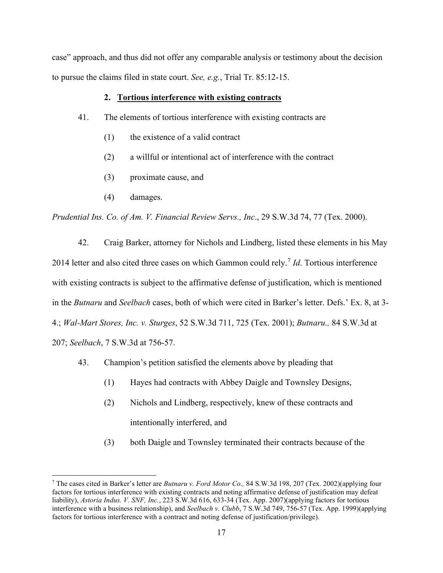case" approach, and thus did not offer any comparable analysis or testimony about the decision to pursue the claims filed in state court. *See, e.g.*, Trial Tr. 85:12-15.

# **2. Tortious interference with existing contracts**

- 41. The elements of tortious interference with existing contracts are
	- (1) the existence of a valid contract
	- (2) a willful or intentional act of interference with the contract
	- (3) proximate cause, and
	- (4) damages.

*Prudential Ins. Co. of Am. V. Financial Review Servs., Inc*., 29 S.W.3d 74, 77 (Tex. 2000).

42. Craig Barker, attorney for Nichols and Lindberg, listed these elements in his May 2014 letter and also cited three cases on which Gammon could rely.[7](#page-16-0) *Id*. Tortious interference with existing contracts is subject to the affirmative defense of justification, which is mentioned in the *Butnaru* and *Seelbach* cases, both of which were cited in Barker's letter. Defs.' Ex. 8, at 3- 4.; *Wal-Mart Stores, Inc. v. Sturges*, 52 S.W.3d 711, 725 (Tex. 2001); *Butnaru.,* 84 S.W.3d at 207; *Seelbach*, 7 S.W.3d at 756-57.

- 43. Champion's petition satisfied the elements above by pleading that
	- (1) Hayes had contracts with Abbey Daigle and Townsley Designs,
	- (2) Nichols and Lindberg, respectively, knew of these contracts and intentionally interfered, and
	- (3) both Daigle and Townsley terminated their contracts because of the

<span id="page-16-0"></span><sup>7</sup> The cases cited in Barker's letter are *Butnaru v. Ford Motor Co.,* 84 S.W.3d 198, 207 (Tex. 2002)(applying four factors for tortious interference with existing contracts and noting affirmative defense of justification may defeat liability), *Astoria Indus. V. SNF, Inc.*, 223 S.W.3d 616, 633-34 (Tex. App. 2007)(applying factors for tortious interference with a business relationship), and *Seelbach v. Clubb*, 7 S.W.3d 749, 756-57 (Tex. App. 1999)(applying factors for tortious interference with a contract and noting defense of justification/privilege).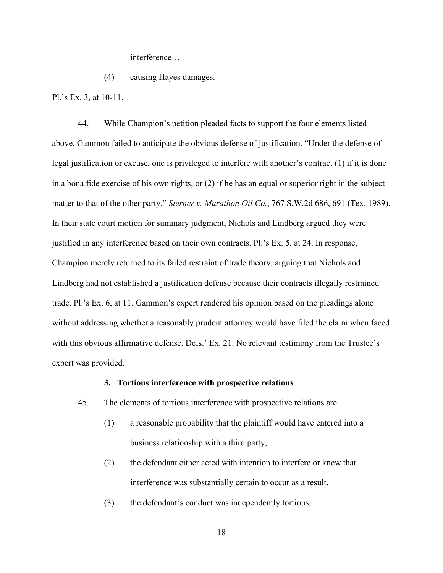interference…

(4) causing Hayes damages.

Pl.'s Ex. 3, at 10-11.

44. While Champion's petition pleaded facts to support the four elements listed above, Gammon failed to anticipate the obvious defense of justification. "Under the defense of legal justification or excuse, one is privileged to interfere with another's contract (1) if it is done in a bona fide exercise of his own rights, or (2) if he has an equal or superior right in the subject matter to that of the other party." *Sterner v. Marathon Oil Co.*, 767 S.W.2d 686, 691 (Tex. 1989). In their state court motion for summary judgment, Nichols and Lindberg argued they were justified in any interference based on their own contracts. Pl.'s Ex. 5, at 24. In response, Champion merely returned to its failed restraint of trade theory, arguing that Nichols and Lindberg had not established a justification defense because their contracts illegally restrained trade. Pl.'s Ex. 6, at 11. Gammon's expert rendered his opinion based on the pleadings alone without addressing whether a reasonably prudent attorney would have filed the claim when faced with this obvious affirmative defense. Defs.' Ex. 21. No relevant testimony from the Trustee's expert was provided.

## **3. Tortious interference with prospective relations**

- 45. The elements of tortious interference with prospective relations are
	- (1) a reasonable probability that the plaintiff would have entered into a business relationship with a third party,
	- (2) the defendant either acted with intention to interfere or knew that interference was substantially certain to occur as a result,
	- (3) the defendant's conduct was independently tortious,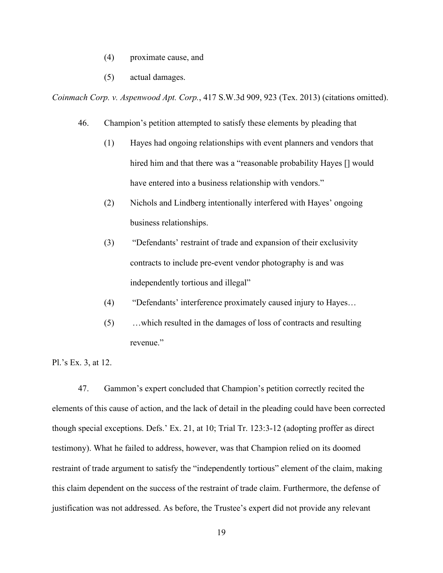- (4) proximate cause, and
- (5) actual damages.

*Coinmach Corp. v. Aspenwood Apt. Corp.*, 417 S.W.3d 909, 923 (Tex. 2013) (citations omitted).

- 46. Champion's petition attempted to satisfy these elements by pleading that
	- (1) Hayes had ongoing relationships with event planners and vendors that hired him and that there was a "reasonable probability Hayes [] would have entered into a business relationship with vendors."
	- (2) Nichols and Lindberg intentionally interfered with Hayes' ongoing business relationships.
	- (3) "Defendants' restraint of trade and expansion of their exclusivity contracts to include pre-event vendor photography is and was independently tortious and illegal"
	- (4) "Defendants' interference proximately caused injury to Hayes…
	- (5) …which resulted in the damages of loss of contracts and resulting revenue."

Pl.'s Ex. 3, at 12.

47. Gammon's expert concluded that Champion's petition correctly recited the elements of this cause of action, and the lack of detail in the pleading could have been corrected though special exceptions. Defs.' Ex. 21, at 10; Trial Tr. 123:3-12 (adopting proffer as direct testimony). What he failed to address, however, was that Champion relied on its doomed restraint of trade argument to satisfy the "independently tortious" element of the claim, making this claim dependent on the success of the restraint of trade claim. Furthermore, the defense of justification was not addressed. As before, the Trustee's expert did not provide any relevant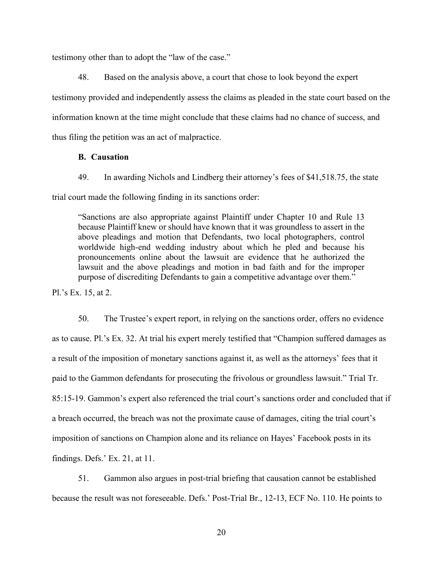testimony other than to adopt the "law of the case."

48. Based on the analysis above, a court that chose to look beyond the expert testimony provided and independently assess the claims as pleaded in the state court based on the information known at the time might conclude that these claims had no chance of success, and thus filing the petition was an act of malpractice.

## **B. Causation**

49. In awarding Nichols and Lindberg their attorney's fees of \$41,518.75, the state trial court made the following finding in its sanctions order:

"Sanctions are also appropriate against Plaintiff under Chapter 10 and Rule 13 because Plaintiff knew or should have known that it was groundless to assert in the above pleadings and motion that Defendants, two local photographers, control worldwide high-end wedding industry about which he pled and because his pronouncements online about the lawsuit are evidence that he authorized the lawsuit and the above pleadings and motion in bad faith and for the improper purpose of discrediting Defendants to gain a competitive advantage over them."

Pl.'s Ex. 15, at 2.

50. The Trustee's expert report, in relying on the sanctions order, offers no evidence as to cause. Pl.'s Ex. 32. At trial his expert merely testified that "Champion suffered damages as a result of the imposition of monetary sanctions against it, as well as the attorneys' fees that it paid to the Gammon defendants for prosecuting the frivolous or groundless lawsuit." Trial Tr. 85:15-19. Gammon's expert also referenced the trial court's sanctions order and concluded that if a breach occurred, the breach was not the proximate cause of damages, citing the trial court's imposition of sanctions on Champion alone and its reliance on Hayes' Facebook posts in its findings. Defs.' Ex. 21, at 11.

51. Gammon also argues in post-trial briefing that causation cannot be established because the result was not foreseeable. Defs.' Post-Trial Br., 12-13, ECF No. 110. He points to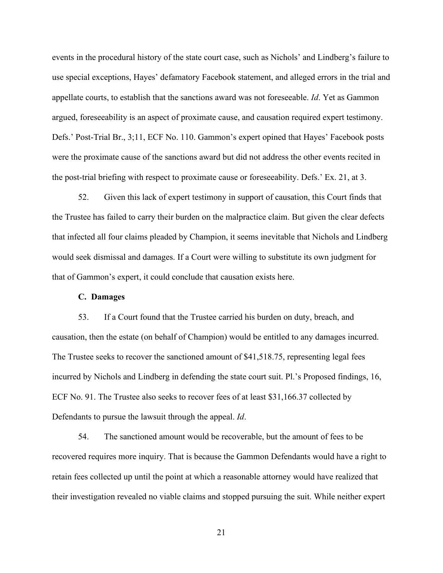events in the procedural history of the state court case, such as Nichols' and Lindberg's failure to use special exceptions, Hayes' defamatory Facebook statement, and alleged errors in the trial and appellate courts, to establish that the sanctions award was not foreseeable. *Id*. Yet as Gammon argued, foreseeability is an aspect of proximate cause, and causation required expert testimony. Defs.' Post-Trial Br., 3;11, ECF No. 110. Gammon's expert opined that Hayes' Facebook posts were the proximate cause of the sanctions award but did not address the other events recited in the post-trial briefing with respect to proximate cause or foreseeability. Defs.' Ex. 21, at 3.

52. Given this lack of expert testimony in support of causation, this Court finds that the Trustee has failed to carry their burden on the malpractice claim. But given the clear defects that infected all four claims pleaded by Champion, it seems inevitable that Nichols and Lindberg would seek dismissal and damages. If a Court were willing to substitute its own judgment for that of Gammon's expert, it could conclude that causation exists here.

## **C. Damages**

53. If a Court found that the Trustee carried his burden on duty, breach, and causation, then the estate (on behalf of Champion) would be entitled to any damages incurred. The Trustee seeks to recover the sanctioned amount of \$41,518.75, representing legal fees incurred by Nichols and Lindberg in defending the state court suit. Pl.'s Proposed findings, 16, ECF No. 91. The Trustee also seeks to recover fees of at least \$31,166.37 collected by Defendants to pursue the lawsuit through the appeal. *Id*.

54. The sanctioned amount would be recoverable, but the amount of fees to be recovered requires more inquiry. That is because the Gammon Defendants would have a right to retain fees collected up until the point at which a reasonable attorney would have realized that their investigation revealed no viable claims and stopped pursuing the suit. While neither expert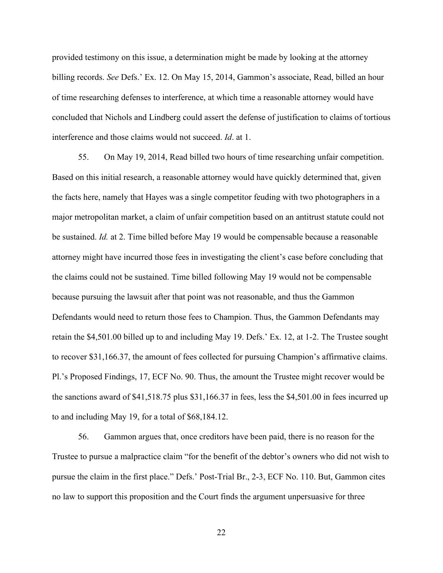provided testimony on this issue, a determination might be made by looking at the attorney billing records. *See* Defs.' Ex. 12. On May 15, 2014, Gammon's associate, Read, billed an hour of time researching defenses to interference, at which time a reasonable attorney would have concluded that Nichols and Lindberg could assert the defense of justification to claims of tortious interference and those claims would not succeed. *Id*. at 1.

55. On May 19, 2014, Read billed two hours of time researching unfair competition. Based on this initial research, a reasonable attorney would have quickly determined that, given the facts here, namely that Hayes was a single competitor feuding with two photographers in a major metropolitan market, a claim of unfair competition based on an antitrust statute could not be sustained. *Id.* at 2. Time billed before May 19 would be compensable because a reasonable attorney might have incurred those fees in investigating the client's case before concluding that the claims could not be sustained. Time billed following May 19 would not be compensable because pursuing the lawsuit after that point was not reasonable, and thus the Gammon Defendants would need to return those fees to Champion. Thus, the Gammon Defendants may retain the \$4,501.00 billed up to and including May 19. Defs.' Ex. 12, at 1-2. The Trustee sought to recover \$31,166.37, the amount of fees collected for pursuing Champion's affirmative claims. Pl.'s Proposed Findings, 17, ECF No. 90. Thus, the amount the Trustee might recover would be the sanctions award of \$41,518.75 plus \$31,166.37 in fees, less the \$4,501.00 in fees incurred up to and including May 19, for a total of \$68,184.12.

56. Gammon argues that, once creditors have been paid, there is no reason for the Trustee to pursue a malpractice claim "for the benefit of the debtor's owners who did not wish to pursue the claim in the first place." Defs.' Post-Trial Br., 2-3, ECF No. 110. But, Gammon cites no law to support this proposition and the Court finds the argument unpersuasive for three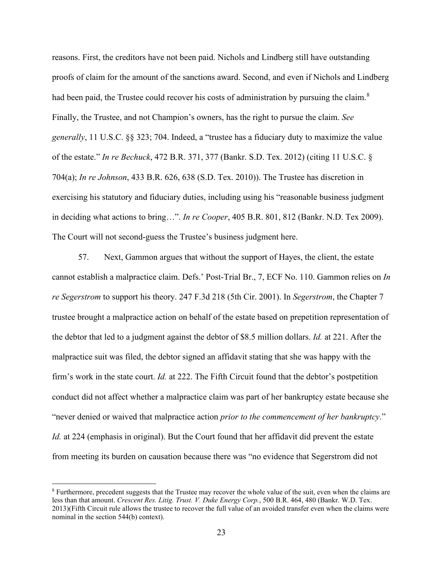reasons. First, the creditors have not been paid. Nichols and Lindberg still have outstanding proofs of claim for the amount of the sanctions award. Second, and even if Nichols and Lindberg had been paid, the Trustee could recover his costs of administration by pursuing the claim.<sup>[8](#page-22-0)</sup> Finally, the Trustee, and not Champion's owners, has the right to pursue the claim. *See generally*, 11 U.S.C. §§ 323; 704. Indeed, a "trustee has a fiduciary duty to maximize the value of the estate." *In re Bechuck*, 472 B.R. 371, 377 (Bankr. S.D. Tex. 2012) (citing 11 U.S.C. § 704(a); *In re Johnson*, 433 B.R. 626, 638 (S.D. Tex. 2010)). The Trustee has discretion in exercising his statutory and fiduciary duties, including using his "reasonable business judgment in deciding what actions to bring…". *In re Cooper*, 405 B.R. 801, 812 (Bankr. N.D. Tex 2009). The Court will not second-guess the Trustee's business judgment here.

57. Next, Gammon argues that without the support of Hayes, the client, the estate cannot establish a malpractice claim. Defs.' Post-Trial Br., 7, ECF No. 110. Gammon relies on *In re Segerstrom* to support his theory. 247 F.3d 218 (5th Cir. 2001). In *Segerstrom*, the Chapter 7 trustee brought a malpractice action on behalf of the estate based on prepetition representation of the debtor that led to a judgment against the debtor of \$8.5 million dollars. *Id.* at 221. After the malpractice suit was filed, the debtor signed an affidavit stating that she was happy with the firm's work in the state court. *Id.* at 222. The Fifth Circuit found that the debtor's postpetition conduct did not affect whether a malpractice claim was part of her bankruptcy estate because she "never denied or waived that malpractice action *prior to the commencement of her bankruptcy*." *Id.* at 224 (emphasis in original). But the Court found that her affidavit did prevent the estate from meeting its burden on causation because there was "no evidence that Segerstrom did not

<span id="page-22-0"></span><sup>8</sup> Furthermore, precedent suggests that the Trustee may recover the whole value of the suit, even when the claims are less than that amount. *Crescent Res. Litig. Trust. V. Duke Energy Corp.*, 500 B.R. 464, 480 (Bankr. W.D. Tex. 2013)(Fifth Circuit rule allows the trustee to recover the full value of an avoided transfer even when the claims were nominal in the section 544(b) context).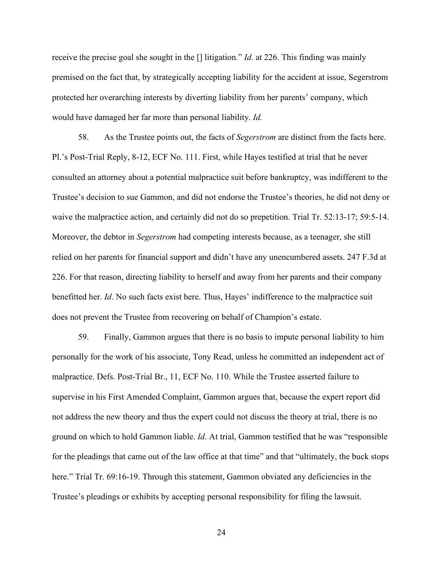receive the precise goal she sought in the [] litigation." *Id.* at 226. This finding was mainly premised on the fact that, by strategically accepting liability for the accident at issue, Segerstrom protected her overarching interests by diverting liability from her parents' company, which would have damaged her far more than personal liability. *Id.* 

58. As the Trustee points out, the facts of *Segerstrom* are distinct from the facts here. Pl.'s Post-Trial Reply, 8-12, ECF No. 111. First, while Hayes testified at trial that he never consulted an attorney about a potential malpractice suit before bankruptcy, was indifferent to the Trustee's decision to sue Gammon, and did not endorse the Trustee's theories, he did not deny or waive the malpractice action, and certainly did not do so prepetition. Trial Tr. 52:13-17; 59:5-14. Moreover, the debtor in *Segerstrom* had competing interests because, as a teenager, she still relied on her parents for financial support and didn't have any unencumbered assets. 247 F.3d at 226. For that reason, directing liability to herself and away from her parents and their company benefitted her. *Id*. No such facts exist here. Thus, Hayes' indifference to the malpractice suit does not prevent the Trustee from recovering on behalf of Champion's estate.

59. Finally, Gammon argues that there is no basis to impute personal liability to him personally for the work of his associate, Tony Read, unless he committed an independent act of malpractice. Defs. Post-Trial Br., 11, ECF No. 110. While the Trustee asserted failure to supervise in his First Amended Complaint, Gammon argues that, because the expert report did not address the new theory and thus the expert could not discuss the theory at trial, there is no ground on which to hold Gammon liable. *Id*. At trial, Gammon testified that he was "responsible for the pleadings that came out of the law office at that time" and that "ultimately, the buck stops here." Trial Tr. 69:16-19. Through this statement, Gammon obviated any deficiencies in the Trustee's pleadings or exhibits by accepting personal responsibility for filing the lawsuit.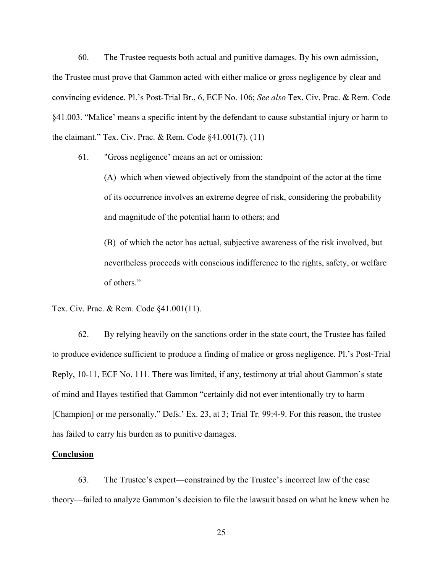60. The Trustee requests both actual and punitive damages. By his own admission, the Trustee must prove that Gammon acted with either malice or gross negligence by clear and convincing evidence. Pl.'s Post-Trial Br., 6, ECF No. 106; *See also* Tex. Civ. Prac. & Rem. Code §41.003. "Malice' means a specific intent by the defendant to cause substantial injury or harm to the claimant." Tex. Civ. Prac. & Rem. Code §41.001(7). (11)

61. "Gross negligence' means an act or omission:

(A) which when viewed objectively from the standpoint of the actor at the time of its occurrence involves an extreme degree of risk, considering the probability and magnitude of the potential harm to others; and

(B) of which the actor has actual, subjective awareness of the risk involved, but nevertheless proceeds with conscious indifference to the rights, safety, or welfare of others."

Tex. Civ. Prac. & Rem. Code §41.001(11).

62. By relying heavily on the sanctions order in the state court, the Trustee has failed to produce evidence sufficient to produce a finding of malice or gross negligence. Pl.'s Post-Trial Reply, 10-11, ECF No. 111. There was limited, if any, testimony at trial about Gammon's state of mind and Hayes testified that Gammon "certainly did not ever intentionally try to harm [Champion] or me personally." Defs.' Ex. 23, at 3; Trial Tr. 99:4-9. For this reason, the trustee has failed to carry his burden as to punitive damages.

### **Conclusion**

63. The Trustee's expert—constrained by the Trustee's incorrect law of the case theory—failed to analyze Gammon's decision to file the lawsuit based on what he knew when he